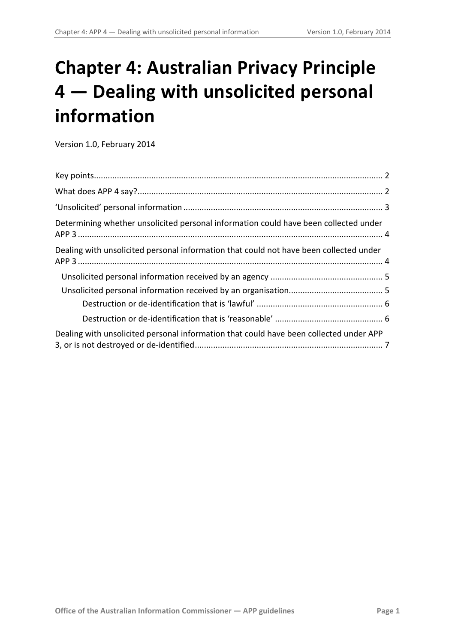# **Chapter 4: Australian Privacy Principle 4 — Dealing with unsolicited personal information**

Version 1.0, February 2014

<span id="page-0-0"></span>

| Determining whether unsolicited personal information could have been collected under   |  |
|----------------------------------------------------------------------------------------|--|
| Dealing with unsolicited personal information that could not have been collected under |  |
|                                                                                        |  |
|                                                                                        |  |
|                                                                                        |  |
|                                                                                        |  |
| Dealing with unsolicited personal information that could have been collected under APP |  |
|                                                                                        |  |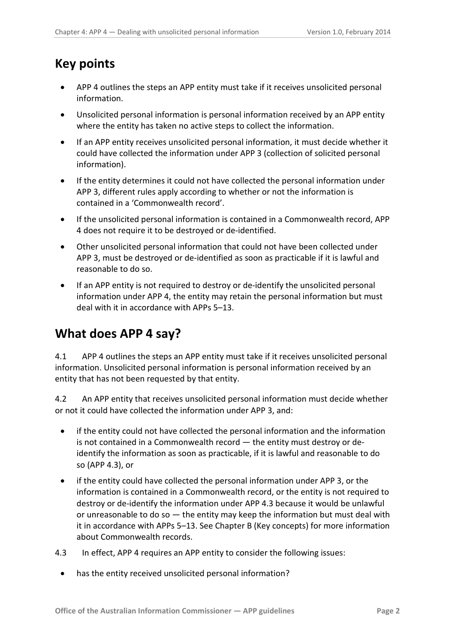### <span id="page-1-0"></span>**Key points**

- APP 4 outlines the steps an APP entity must take if it receives unsolicited personal information.
- Unsolicited personal information is personal information received by an APP entity where the entity has taken no active steps to collect the information.
- If an APP entity receives unsolicited personal information, it must decide whether it could have collected the information under APP 3 (collection of solicited personal information).
- If the entity determines it could not have collected the personal information under APP 3, different rules apply according to whether or not the information is contained in a 'Commonwealth record'.
- If the unsolicited personal information is contained in a Commonwealth record, APP 4 does not require it to be destroyed or de-identified.
- Other unsolicited personal information that could not have been collected under APP 3, must be destroyed or de-identified as soon as practicable if it is lawful and reasonable to do so.
- If an APP entity is not required to destroy or de-identify the unsolicited personal information under APP 4, the entity may retain the personal information but must deal with it in accordance with APPs 5–13.

### <span id="page-1-1"></span>**What does APP 4 say?**

4.1 APP 4 outlines the steps an APP entity must take if it receives unsolicited personal information. Unsolicited personal information is personal information received by an entity that has not been requested by that entity.

4.2 An APP entity that receives unsolicited personal information must decide whether or not it could have collected the information under APP 3, and:

- if the entity could not have collected the personal information and the information is not contained in a Commonwealth record — the entity must destroy or deidentify the information as soon as practicable, if it is lawful and reasonable to do so (APP 4.3), or
- if the entity could have collected the personal information under APP 3, or the information is contained in a Commonwealth record, or the entity is not required to destroy or de-identify the information under APP 4.3 because it would be unlawful or unreasonable to do so  $-$  the entity may keep the information but must deal with it in accordance with APPs 5–13. See Chapter B (Key concepts) for more information about Commonwealth records.
- 4.3 In effect, APP 4 requires an APP entity to consider the following issues:
	- has the entity received unsolicited personal information?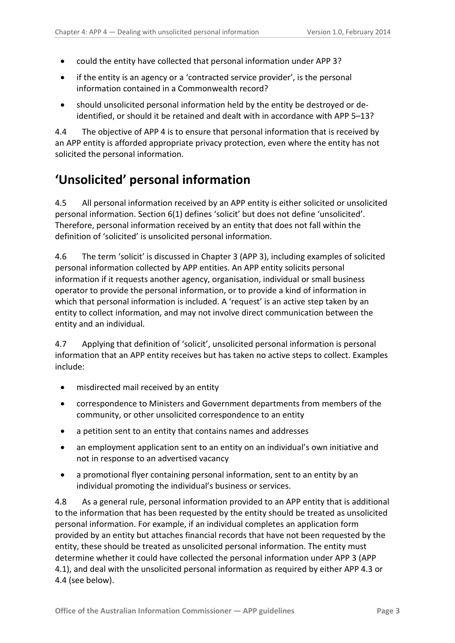- could the entity have collected that personal information under APP 3?
- if the entity is an agency or a 'contracted service provider', is the personal information contained in a Commonwealth record?
- should unsolicited personal information held by the entity be destroyed or deidentified, or should it be retained and dealt with in accordance with APP 5–13?

4.4 The objective of APP 4 is to ensure that personal information that is received by an APP entity is afforded appropriate privacy protection, even where the entity has not solicited the personal information.

### <span id="page-2-0"></span>**'Unsolicited' personal information**

4.5 All personal information received by an APP entity is either solicited or unsolicited personal information. Section 6(1) defines 'solicit' but does not define 'unsolicited'. Therefore, personal information received by an entity that does not fall within the definition of 'solicited' is unsolicited personal information.

4.6 The term 'solicit' is discussed in Chapter 3 (APP 3), including examples of solicited personal information collected by APP entities. An APP entity solicits personal information if it requests another agency, organisation, individual or small business operator to provide the personal information, or to provide a kind of information in which that personal information is included. A 'request' is an active step taken by an entity to collect information, and may not involve direct communication between the entity and an individual.

4.7 Applying that definition of 'solicit', unsolicited personal information is personal information that an APP entity receives but has taken no active steps to collect. Examples include:

- misdirected mail received by an entity
- correspondence to Ministers and Government departments from members of the community, or other unsolicited correspondence to an entity
- a petition sent to an entity that contains names and addresses
- an employment application sent to an entity on an individual's own initiative and not in response to an advertised vacancy
- a promotional flyer containing personal information, sent to an entity by an individual promoting the individual's business or services.

4.8 As a general rule, personal information provided to an APP entity that is additional to the information that has been requested by the entity should be treated as unsolicited personal information. For example, if an individual completes an application form provided by an entity but attaches financial records that have not been requested by the entity, these should be treated as unsolicited personal information. The entity must determine whether it could have collected the personal information under APP 3 (APP 4.1), and deal with the unsolicited personal information as required by either APP 4.3 or 4.4 (see below).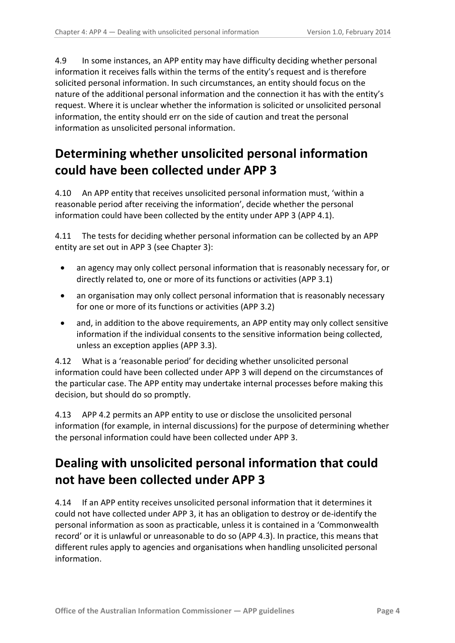4.9 In some instances, an APP entity may have difficulty deciding whether personal information it receives falls within the terms of the entity's request and is therefore solicited personal information. In such circumstances, an entity should focus on the nature of the additional personal information and the connection it has with the entity's request. Where it is unclear whether the information is solicited or unsolicited personal information, the entity should err on the side of caution and treat the personal information as unsolicited personal information.

## <span id="page-3-0"></span>**Determining whether unsolicited personal information could have been collected under APP 3**

4.10 An APP entity that receives unsolicited personal information must, 'within a reasonable period after receiving the information', decide whether the personal information could have been collected by the entity under APP 3 (APP 4.1).

4.11 The tests for deciding whether personal information can be collected by an APP entity are set out in APP 3 (see Chapter 3):

- an agency may only collect personal information that is reasonably necessary for, or directly related to, one or more of its functions or activities (APP 3.1)
- an organisation may only collect personal information that is reasonably necessary for one or more of its functions or activities (APP 3.2)
- and, in addition to the above requirements, an APP entity may only collect sensitive information if the individual consents to the sensitive information being collected, unless an exception applies (APP 3.3).

4.12 What is a 'reasonable period' for deciding whether unsolicited personal information could have been collected under APP 3 will depend on the circumstances of the particular case. The APP entity may undertake internal processes before making this decision, but should do so promptly.

4.13 APP 4.2 permits an APP entity to use or disclose the unsolicited personal information (for example, in internal discussions) for the purpose of determining whether the personal information could have been collected under APP 3.

### <span id="page-3-1"></span>**Dealing with unsolicited personal information that could not have been collected under APP 3**

4.14 If an APP entity receives unsolicited personal information that it determines it could not have collected under APP 3, it has an obligation to destroy or de-identify the personal information as soon as practicable, unless it is contained in a 'Commonwealth record' or it is unlawful or unreasonable to do so (APP 4.3). In practice, this means that different rules apply to agencies and organisations when handling unsolicited personal information.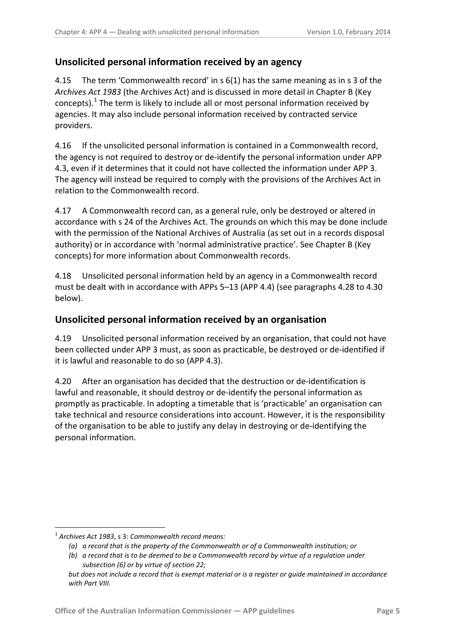#### <span id="page-4-0"></span>**Unsolicited personal information received by an agency**

4.15 The term 'Commonwealth record' in s 6(1) has the same meaning as in s 3 of the *Archives Act 1983* (the Archives Act) and is discussed in more detail in Chapter B (Key concepts). $<sup>1</sup>$  $<sup>1</sup>$  $<sup>1</sup>$  The term is likely to include all or most personal information received by</sup> agencies. It may also include personal information received by contracted service providers.

4.16 If the unsolicited personal information is contained in a Commonwealth record, the agency is not required to destroy or de-identify the personal information under APP 4.3, even if it determines that it could not have collected the information under APP 3. The agency will instead be required to comply with the provisions of the Archives Act in relation to the Commonwealth record.

4.17 A Commonwealth record can, as a general rule, only be destroyed or altered in accordance with s 24 of the Archives Act. The grounds on which this may be done include with the permission of the National Archives of Australia (as set out in a records disposal authority) or in accordance with 'normal administrative practice'. See Chapter B (Key concepts) for more information about Commonwealth records.

4.18 Unsolicited personal information held by an agency in a Commonwealth record must be dealt with in accordance with APPs 5–13 (APP 4.4) (see paragraphs [4.28](#page-6-1) to [4.30](#page-6-2) below).

#### <span id="page-4-1"></span>**Unsolicited personal information received by an organisation**

4.19 Unsolicited personal information received by an organisation, that could not have been collected under APP 3 must, as soon as practicable, be destroyed or de-identified if it is lawful and reasonable to do so (APP 4.3).

4.20 After an organisation has decided that the destruction or de-identification is lawful and reasonable, it should destroy or de-identify the personal information as promptly as practicable. In adopting a timetable that is 'practicable' an organisation can take technical and resource considerations into account. However, it is the responsibility of the organisation to be able to justify any delay in destroying or de-identifying the personal information.

-

<sup>1</sup> *Archives Act 1983*, s 3: *Commonwealth record means:*

*<sup>(</sup>a) a record that is the property of the Commonwealth or of a Commonwealth institution; or*

*<sup>(</sup>b) a record that is to be deemed to be a Commonwealth record by virtue of a regulation under subsection (6) or by virtue of section 22;*

*but does not include a record that is exempt material or is a register or guide maintained in accordance with Part VIII.*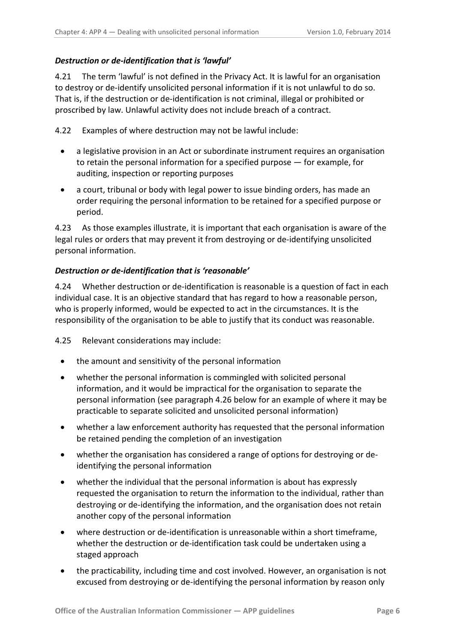#### <span id="page-5-0"></span>*Destruction or de-identification that is 'lawful'*

4.21 The term 'lawful' is not defined in the Privacy Act. It is lawful for an organisation to destroy or de-identify unsolicited personal information if it is not unlawful to do so. That is, if the destruction or de-identification is not criminal, illegal or prohibited or proscribed by law. Unlawful activity does not include breach of a contract.

4.22 Examples of where destruction may not be lawful include:

- a legislative provision in an Act or subordinate instrument requires an organisation to retain the personal information for a specified purpose — for example, for auditing, inspection or reporting purposes
- a court, tribunal or body with legal power to issue binding orders, has made an order requiring the personal information to be retained for a specified purpose or period.

4.23 As those examples illustrate, it is important that each organisation is aware of the legal rules or orders that may prevent it from destroying or de-identifying unsolicited personal information.

#### <span id="page-5-1"></span>*Destruction or de-identification that is 'reasonable'*

4.24 Whether destruction or de-identification is reasonable is a question of fact in each individual case. It is an objective standard that has regard to how a reasonable person, who is properly informed, would be expected to act in the circumstances. It is the responsibility of the organisation to be able to justify that its conduct was reasonable.

4.25 Relevant considerations may include:

- the amount and sensitivity of the personal information
- whether the personal information is commingled with solicited personal information, and it would be impractical for the organisation to separate the personal information (see paragraph [4.26](#page-6-3) below for an example of where it may be practicable to separate solicited and unsolicited personal information)
- whether a law enforcement authority has requested that the personal information be retained pending the completion of an investigation
- whether the organisation has considered a range of options for destroying or deidentifying the personal information
- whether the individual that the personal information is about has expressly requested the organisation to return the information to the individual, rather than destroying or de-identifying the information, and the organisation does not retain another copy of the personal information
- where destruction or de-identification is unreasonable within a short timeframe, whether the destruction or de-identification task could be undertaken using a staged approach
- the practicability, including time and cost involved. However, an organisation is not excused from destroying or de-identifying the personal information by reason only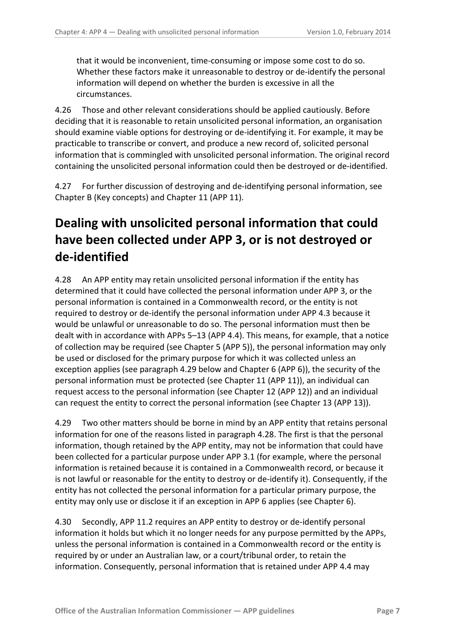that it would be inconvenient, time-consuming or impose some cost to do so. Whether these factors make it unreasonable to destroy or de-identify the personal information will depend on whether the burden is excessive in all the circumstances.

<span id="page-6-3"></span>4.26 Those and other relevant considerations should be applied cautiously. Before deciding that it is reasonable to retain unsolicited personal information, an organisation should examine viable options for destroying or de-identifying it. For example, it may be practicable to transcribe or convert, and produce a new record of, solicited personal information that is commingled with unsolicited personal information. The original record containing the unsolicited personal information could then be destroyed or de-identified.

4.27 For further discussion of destroying and de-identifying personal information, see Chapter B (Key concepts) and Chapter 11 (APP 11).

# <span id="page-6-0"></span>**Dealing with unsolicited personal information that could have been collected under APP 3, or is not destroyed or de-identified**

<span id="page-6-1"></span>4.28 An APP entity may retain unsolicited personal information if the entity has determined that it could have collected the personal information under APP 3, or the personal information is contained in a Commonwealth record, or the entity is not required to destroy or de-identify the personal information under APP 4.3 because it would be unlawful or unreasonable to do so. The personal information must then be dealt with in accordance with APPs 5–13 (APP 4.4). This means, for example, that a notice of collection may be required (see Chapter 5 (APP 5)), the personal information may only be used or disclosed for the primary purpose for which it was collected unless an exception applies (see paragraph [4.29](#page-6-4) below and Chapter 6 (APP 6)), the security of the personal information must be protected (see Chapter 11 (APP 11)), an individual can request access to the personal information (see Chapter 12 (APP 12)) and an individual can request the entity to correct the personal information (see Chapter 13 (APP 13)).

<span id="page-6-4"></span>4.29 Two other matters should be borne in mind by an APP entity that retains personal information for one of the reasons listed in paragraph [4.28.](#page-6-1) The first is that the personal information, though retained by the APP entity, may not be information that could have been collected for a particular purpose under APP 3.1 (for example, where the personal information is retained because it is contained in a Commonwealth record, or because it is not lawful or reasonable for the entity to destroy or de-identify it). Consequently, if the entity has not collected the personal information for a particular primary purpose, the entity may only use or disclose it if an exception in APP 6 applies (see Chapter 6).

<span id="page-6-2"></span>4.30 Secondly, APP 11.2 requires an APP entity to destroy or de-identify personal information it holds but which it no longer needs for any purpose permitted by the APPs, unless the personal information is contained in a Commonwealth record or the entity is required by or under an Australian law, or a court/tribunal order, to retain the information. Consequently, personal information that is retained under APP 4.4 may